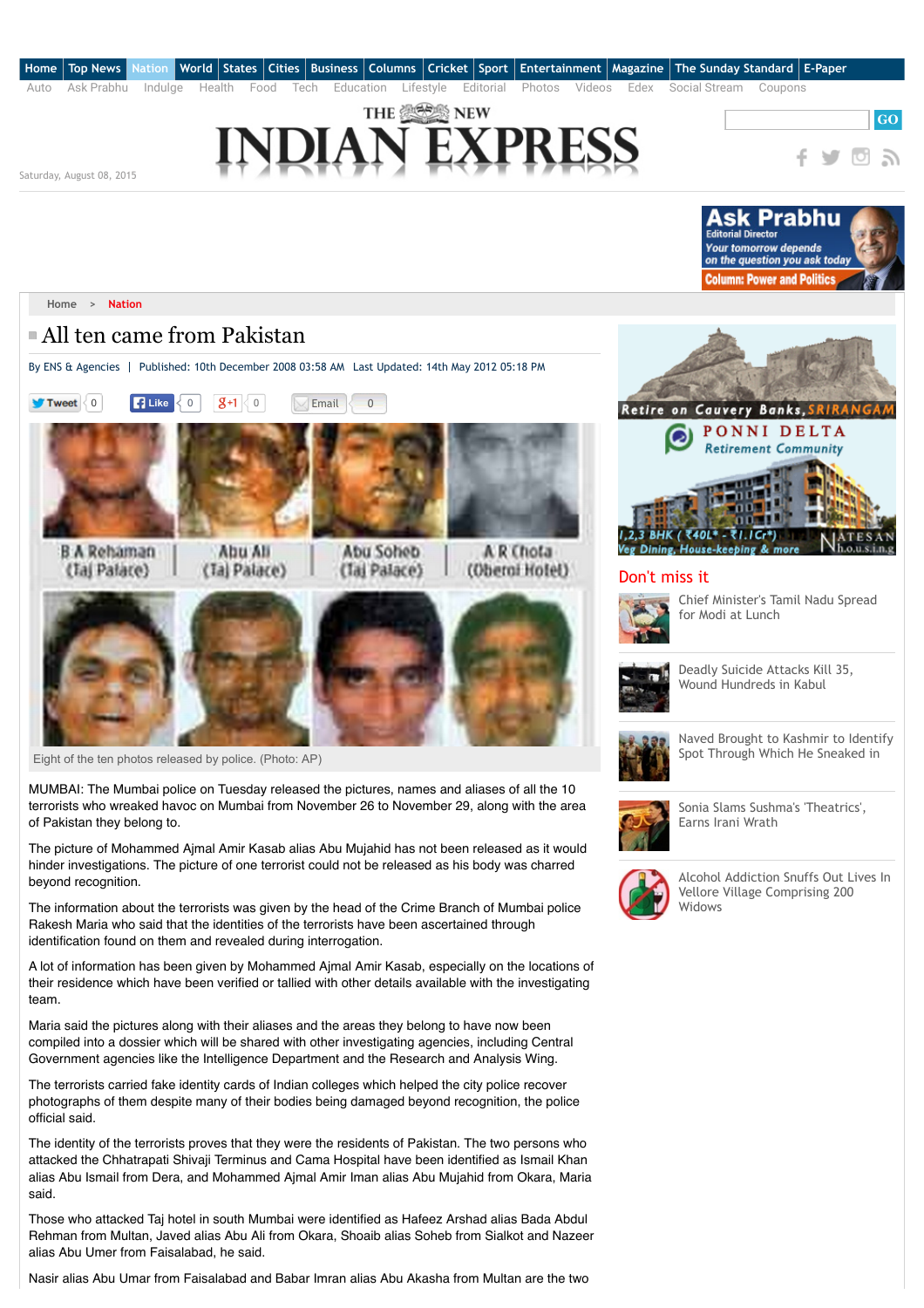

The picture of Mohammed Ajmal Amir Kasab alias Abu Mujahid has not been released as it would hinder investigations. The picture of one terrorist could not be released as his body was charred beyond recognition.

The information about the terrorists was given by the head of the Crime Branch of Mumbai police Rakesh Maria who said that the identities of the terrorists have been ascertained through identification found on them and revealed during interrogation.

A lot of information has been given by Mohammed Ajmal Amir Kasab, especially on the locations of their residence which have been verified or tallied with other details available with the investigating team.

Maria said the pictures along with their aliases and the areas they belong to have now been compiled into a dossier which will be shared with other investigating agencies, including Central Government agencies like the Intelligence Department and the Research and Analysis Wing.

The terrorists carried fake identity cards of Indian colleges which helped the city police recover photographs of them despite many of their bodies being damaged beyond recognition, the police official said.

The identity of the terrorists proves that they were the residents of Pakistan. The two persons who attacked the Chhatrapati Shivaji Terminus and Cama Hospital have been identified as Ismail Khan alias Abu Ismail from Dera, and Mohammed Ajmal Amir Iman alias Abu Mujahid from Okara, Maria said.

Those who attacked Taj hotel in south Mumbai were identified as Hafeez Arshad alias Bada Abdul Rehman from Multan, Javed alias Abu Ali from Okara, Shoaib alias Soheb from Sialkot and Nazeer alias Abu Umer from Faisalabad, he said.

Nasir alias Abu Umar from Faisalabad and Babar Imran alias Abu Akasha from Multan are the two



Earns Irani Wrath



[Alcohol Addiction Snuffs Out Lives In](http://www.newindianexpress.com/states/tamil_nadu/Alcohol-Addiction-Snuffs-Out-Lives-In-Vellore-Village-Comprising-200-Widows/2015/08/08/article2963601.ece) Vellore Village Comprising 200 Widows